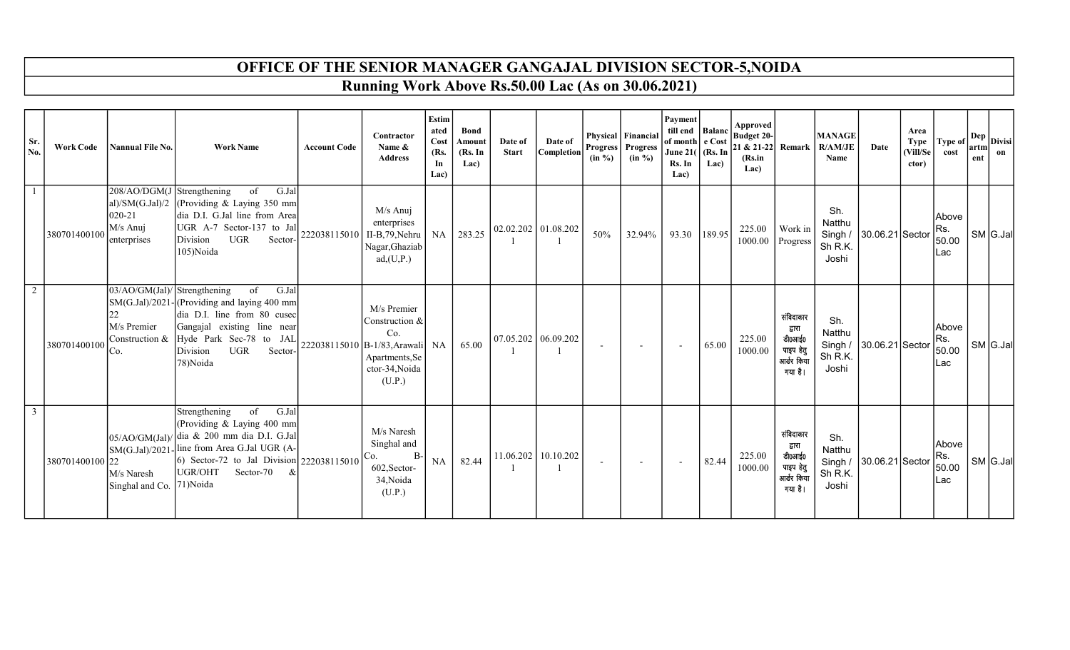## OFFICE OF THE SENIOR MANAGER GANGAJAL DIVISION SECTOR-5,NOIDA

Running Work Above Rs.50.00 Lac (As on 30.06.2021)

| Sr.<br>No. | <b>Work Code</b> | <b>Nannual File No.</b>                                            | <b>Work Name</b>                                                                                                                                                                                                                                | <b>Account Code</b>         | Contractor<br>Name &<br><b>Address</b>                                             | Estim<br>ated<br>Cost<br>(Rs.<br>In<br>Lac) | <b>Bond</b><br>Amount<br>(Rs. In<br>Lac) | Date of<br><b>Start</b> | Date of<br>Completion | $(in \%)$                | Physical Financial<br><b>Progress</b> Progress<br>$(in \%)$ | Payment<br>till end Balanc<br>of month e Cost<br><b>June 21(</b><br>Rs. In<br>Lac) | $ $ (Rs. In<br>Lac) | Approved<br><b>Budget 20-</b><br>(Rs.in<br>Lac) |                                                                     | <b>MANAGE</b><br>21 & 21-22 Remark R/AM/JE<br>Name | Date                    | Area<br>Type<br>(Vill/Se<br>ctor) | Type of<br>cost               | artm<br>ent | $\left  \cdot \right $ Dep $ $ Divisi <sup>1</sup><br>on |
|------------|------------------|--------------------------------------------------------------------|-------------------------------------------------------------------------------------------------------------------------------------------------------------------------------------------------------------------------------------------------|-----------------------------|------------------------------------------------------------------------------------|---------------------------------------------|------------------------------------------|-------------------------|-----------------------|--------------------------|-------------------------------------------------------------|------------------------------------------------------------------------------------|---------------------|-------------------------------------------------|---------------------------------------------------------------------|----------------------------------------------------|-------------------------|-----------------------------------|-------------------------------|-------------|----------------------------------------------------------|
|            | 380701400100     | $208/AO/DGM(J)$ Strengthening<br>020-21<br>M/s Anuj<br>enterprises | of<br>G.Jal<br>al)/SM(G.Jal)/2 (Providing & Laying 350 mm<br>dia D.I. G.Jal line from Area<br>UGR A-7 Sector-137 to Jal<br>Division<br>UGR<br>Sector-<br>105)Noida                                                                              | 222038115010 II-B,79, Nehru | M/s Anuj<br>enterprises<br>Nagar, Ghaziab<br>ad, (U, P.)                           | NA                                          | 283.25                                   | 02.02.202 01.08.202     |                       | 50%                      | 32.94%                                                      | 93.30 189.95                                                                       |                     | 225.00<br>1000.00 Progress                      | Work in                                                             | Sh.<br>Natthu<br>Sh R.K.<br>Joshi                  | Singh / 30.06.21 Sector |                                   | Above<br>Rs.<br>50.00<br>ILac |             | $SM$ G.Jal                                               |
|            | 380701400100     | $03/AO/GM(Jal)/$ Strengthening<br>M/s Premier<br>Co.               | of<br>G.Jal<br>SM(G.Jal)/2021-(Providing and laying 400 mm<br>dia D.I. line from 80 cusec<br>Gangajal existing line near<br>Construction & $Hyde$ Park Sec-78 to JAL 222038115010 B-1/83, Arawali NA<br>UGR<br>Division<br>Sector-'<br>78)Noida |                             | M/s Premier<br>Construction &<br>Co.<br>Apartments, Se<br>ctor-34, Noida<br>(U.P.) |                                             | 65.00                                    | 07.05.202 06.09.202     |                       | $\overline{\phantom{a}}$ | $\overline{a}$                                              | $\sim$                                                                             | 65.00               | 225.00<br>1000.00                               | संविदाकार<br>द्वारा<br>डी0आई0<br>पाइप हेतु<br>आर्डर किया<br>गया है। | Sh.<br>Natthu<br>Sh R.K.<br>Joshi                  | Singh / 30.06.21 Sector |                                   | Above<br>Rs.<br>50.00<br>ILac |             | SM G.Jal                                                 |
|            | 380701400100 22  | M/s Naresh<br>Singhal and Co. 71)Noida                             | Strengthening<br>of<br>G.Jal<br>(Providing & Laying 400 mm<br>05/AO/GM(Jal)/ dia & 200 mm dia D.I. G.Jal<br>SM(G.Jal)/2021-line from Area G.Jal UGR (A-<br>6) Sector-72 to Jal Division $ 222038115010 $<br>UGR/OHT<br>Sector-70<br>&           |                             | M/s Naresh<br>Singhal and<br>$B-$<br>Co.<br>602, Sector-<br>34, Noida<br>(U.P.)    | NA                                          | 82.44                                    |                         | 11.06.202 10.10.202   | $\overline{a}$           | $\overline{a}$                                              |                                                                                    | 82.44               | 225.00<br>1000.00                               | संविदाकार<br>द्वारा<br>डी0आई0<br>पाइप हेतु<br>आर्डर किया<br>गया है। | Sh.<br>Natthu<br>Singh /<br>Sh R.K.<br>Joshi       | 30.06.21 Sector         |                                   | Above<br>Rs.<br>50.00<br>ILac |             | SM G.Jal                                                 |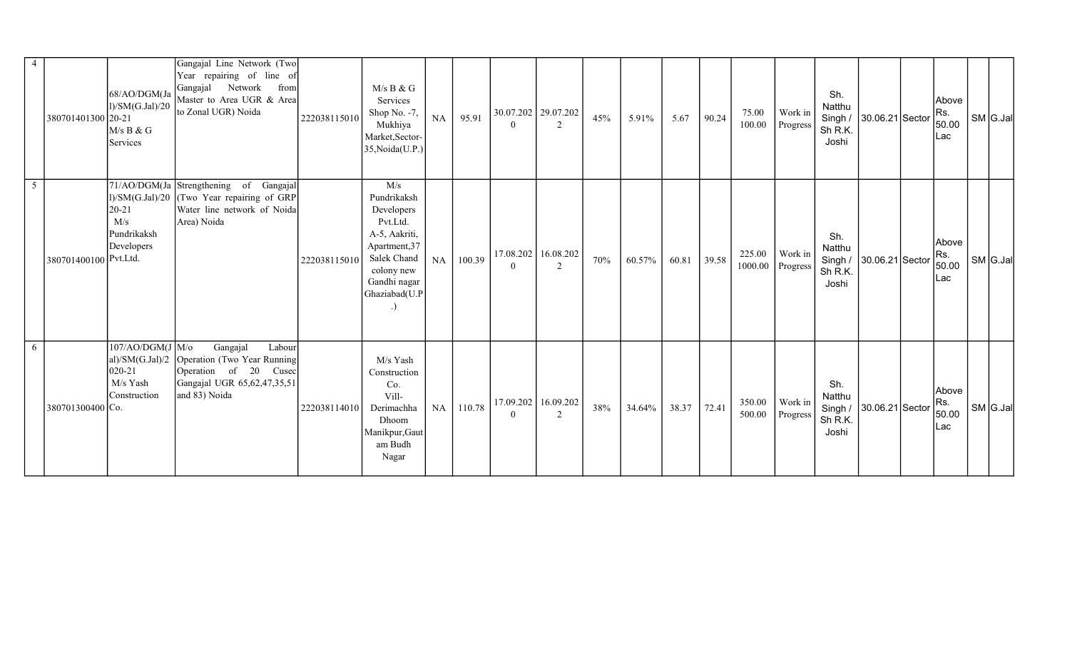| 4 | 380701401300 20-21    | 68/AO/DGM(Ja<br>1)/SM(G.Jal)/20<br>M/s B & G<br>Services     | Gangajal Line Network (Two<br>Year repairing of line of<br>Gangajal Network from<br>Master to Area UGR & Area<br>to Zonal UGR) Noida          | 222038115010 | M/s B & G<br>Services<br>Shop No. -7,<br>Mukhiya<br>Market, Sector-<br>35, Noida(U.P.)                                                       | <b>NA</b> | 95.91  | $\theta$                    | 30.07.202 29.07.202<br>$\overline{2}$ | 45% | 5.91%  | 5.67  | 90.24 | 75.00<br>100.00   | Work in<br>Progress | Sh.<br>Natthu<br>Singh /<br>Sh R.K.<br>Joshi | 30.06.21 Sector         | Above<br>Rs.<br>50.00<br>Lac | SM G.Jal |
|---|-----------------------|--------------------------------------------------------------|-----------------------------------------------------------------------------------------------------------------------------------------------|--------------|----------------------------------------------------------------------------------------------------------------------------------------------|-----------|--------|-----------------------------|---------------------------------------|-----|--------|-------|-------|-------------------|---------------------|----------------------------------------------|-------------------------|------------------------------|----------|
| 5 | 380701400100 Pvt.Ltd. | $20 - 21$<br>M/s<br>Pundrikaksh<br>Developers                | 71/AO/DGM(Ja Strengthening of Gangajal<br>$ 1\rangle$ /SM(G.Jal)/20 (Two Year repairing of GRP)<br>Water line network of Noida<br>Area) Noida | 222038115010 | M/s<br>Pundrikaksh<br>Developers<br>Pvt.Ltd.<br>A-5, Aakriti,<br>Apartment, 37<br>Salek Chand<br>colony new<br>Gandhi nagar<br>Ghaziabad(U.P | <b>NA</b> | 100.39 | 17.08.202<br>$\overline{0}$ | 16.08.202<br>2                        | 70% | 60.57% | 60.81 | 39.58 | 225.00<br>1000.00 | Work in<br>Progress | Sh.<br>Natthu<br>Sh R.K.<br>Joshi            | Singh / 30.06.21 Sector | Above<br>Rs.<br>50.00<br>Lac | SM G.Jal |
| 6 | 380701300400 Co.      | 107/AO/DGM(J/Mo)<br>$020 - 21$<br>$M/s$ Yash<br>Construction | Gangajal<br>Labour<br>al)/SM(G.Jal)/2 Operation (Two Year Running<br>Operation of 20 Cusec<br>Gangajal UGR 65,62,47,35,51<br>and 83) Noida    | 222038114010 | M/s Yash<br>Construction<br>Co.<br>Vill-<br>Derimachha<br>Dhoom<br>Manikpur, Gaut<br>am Budh<br>Nagar                                        | NA        | 110.78 | $\Omega$                    | 17.09.202 16.09.202<br>2              | 38% | 34.64% | 38.37 | 72.41 | 350.00<br>500.00  | Work in<br>Progress | Sh.<br>Natthu<br>Sh R.K.<br>Joshi            | Singh / 30.06.21 Sector | Above<br>Rs.<br>50.00<br>Lac | SM G.Jal |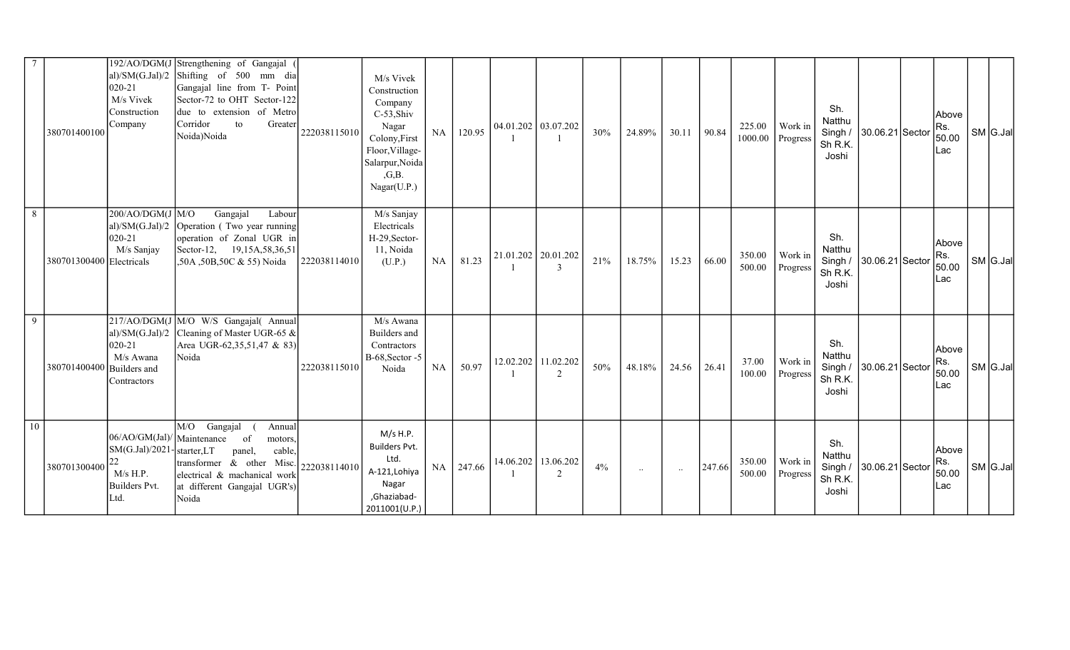|    | 380701400100             | al)/SM $(G.Jal)/2$<br>020-21<br>M/s Vivek<br>Construction<br>Company                                 | 192/AO/DGM(J Strengthening of Gangajal<br>Shifting of 500 mm dia<br>Gangajal line from T- Point<br>Sector-72 to OHT Sector-122<br>due to extension of Metro<br>Corridor<br>Greater<br>to<br>Noida)Noida | 222038115010 | M/s Vivek<br>Construction<br>Company<br>$C-53,$ Shiv<br>Nagar<br>Colony, First<br>Floor, Village-<br>Salarpur, Noida<br>,G,B.<br>Nagar(U.P.) | NA        | 120.95 |                       | 04.01.202 03.07.202         | 30% | 24.89%    | 30.11    | 90.84  | 225.00<br>1000.00 | Work in<br>Progress | Sh.<br>Natthu<br>Singh /<br>Sh R.K.<br>Joshi | 30.06.21 Sector         | Above<br>Rs.<br>50.00<br>Lac | SM G.Jal |
|----|--------------------------|------------------------------------------------------------------------------------------------------|---------------------------------------------------------------------------------------------------------------------------------------------------------------------------------------------------------|--------------|----------------------------------------------------------------------------------------------------------------------------------------------|-----------|--------|-----------------------|-----------------------------|-----|-----------|----------|--------|-------------------|---------------------|----------------------------------------------|-------------------------|------------------------------|----------|
| 8  | 380701300400 Electricals | $200$ /AO/DGM(J M/O<br>020-21<br>M/s Sanjay                                                          | Gangajal<br>Labour<br>$ al)/SM(G.Jal)/2$ Operation (Two year running<br>operation of Zonal UGR in<br>Sector-12, $19,15A,58,36,51$<br>,50A,50B,50C & 55) Noida                                           | 222038114010 | M/s Sanjay<br>Electricals<br>H-29, Sector-<br>11, Noida<br>(U.P.)                                                                            | NA        | 81.23  | 21.01.202   20.01.202 | $\mathcal{R}$               | 21% | 18.75%    | 15.23    | 66.00  | 350.00<br>500.00  | Work in<br>Progress | Sh.<br>Natthu<br>Sh R.K.<br>Joshi            | Singh / 30.06.21 Sector | Above<br>Rs.<br>50.00<br>Lac | SM G.Jal |
| 9  | 380701400400             | aI)/SM(G.Jal)/2<br>020-21<br>M/s Awana<br><b>Builders</b> and<br>Contractors                         | 217/AO/DGM(J M/O W/S Gangajal( Annual<br>Cleaning of Master UGR-65 &<br>Area UGR-62,35,51,47 & 83)<br>Noida                                                                                             | 222038115010 | M/s Awana<br>Builders and<br>Contractors<br>B-68, Sector -5<br>Noida                                                                         | <b>NA</b> | 50.97  |                       | 12.02.202 11.02.202<br>2    | 50% | 48.18%    | 24.56    | 26.41  | 37.00<br>100.00   | Work in<br>Progress | Sh.<br>Natthu<br>Sh R.K.<br>Joshi            | Singh / 30.06.21 Sector | Above<br>Rs.<br>50.00<br>Lac | SM G.Jal |
| 10 | 380701300400             | 06/AO/GM(Jal)/ Maintenance<br>SM(G.Jal)/2021-starter,LT<br>22<br>$M/s$ H.P.<br>Builders Pvt.<br>Ltd. | M/O<br>Gangajal<br>Annual<br>of<br>motors.<br>panel,<br>cable,<br>transformer $\alpha$ other Misc. 222038114010<br>electrical & machanical work<br>at different Gangajal UGR's)<br>Noida                |              | $M/s$ H.P.<br><b>Builders Pyt.</b><br>Ltd.<br>A-121, Lohiya<br>Nagar<br>,Ghaziabad-<br>2011001(U.P.)                                         | NA        | 247.66 | 14.06.202             | 13.06.202<br>$\overline{2}$ | 4%  | $\ddotsc$ | $\ddots$ | 247.66 | 350.00<br>500.00  | Work in<br>Progress | Sh.<br>Natthu<br>Singh /<br>Sh R.K.<br>Joshi | 30.06.21 Sector         | Above<br>Rs.<br>50.00<br>Lac | SM G.Jal |